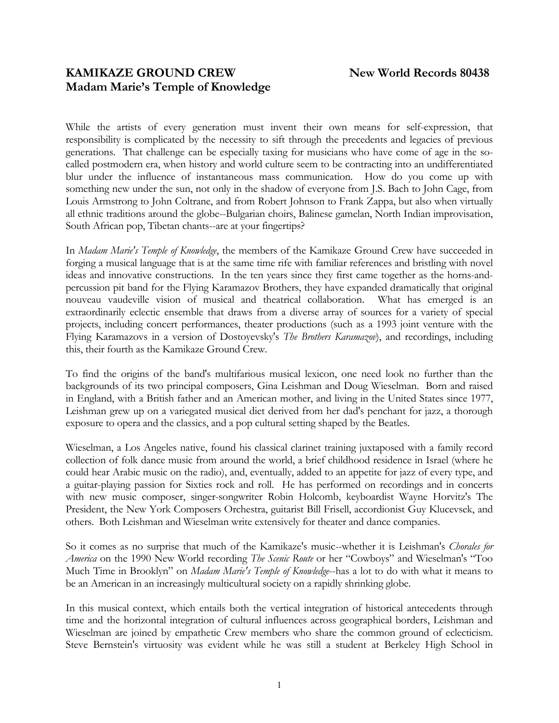# **KAMIKAZE GROUND CREW New World Records 80438 Madam Marie's Temple of Knowledge**

While the artists of every generation must invent their own means for self-expression, that responsibility is complicated by the necessity to sift through the precedents and legacies of previous generations. That challenge can be especially taxing for musicians who have come of age in the socalled postmodern era, when history and world culture seem to be contracting into an undifferentiated blur under the influence of instantaneous mass communication. How do you come up with something new under the sun, not only in the shadow of everyone from J.S. Bach to John Cage, from Louis Armstrong to John Coltrane, and from Robert Johnson to Frank Zappa, but also when virtually all ethnic traditions around the globe--Bulgarian choirs, Balinese gamelan, North Indian improvisation, South African pop, Tibetan chants--are at your fingertips?

In *Madam Marie's Temple of Knowledge*, the members of the Kamikaze Ground Crew have succeeded in forging a musical language that is at the same time rife with familiar references and bristling with novel ideas and innovative constructions. In the ten years since they first came together as the horns-andpercussion pit band for the Flying Karamazov Brothers, they have expanded dramatically that original nouveau vaudeville vision of musical and theatrical collaboration. What has emerged is an extraordinarily eclectic ensemble that draws from a diverse array of sources for a variety of special projects, including concert performances, theater productions (such as a 1993 joint venture with the Flying Karamazovs in a version of Dostoyevsky's *The Brothers Karamazov*), and recordings, including this, their fourth as the Kamikaze Ground Crew.

To find the origins of the band's multifarious musical lexicon, one need look no further than the backgrounds of its two principal composers, Gina Leishman and Doug Wieselman. Born and raised in England, with a British father and an American mother, and living in the United States since 1977, Leishman grew up on a variegated musical diet derived from her dad's penchant for jazz, a thorough exposure to opera and the classics, and a pop cultural setting shaped by the Beatles.

Wieselman, a Los Angeles native, found his classical clarinet training juxtaposed with a family record collection of folk dance music from around the world, a brief childhood residence in Israel (where he could hear Arabic music on the radio), and, eventually, added to an appetite for jazz of every type, and a guitar-playing passion for Sixties rock and roll. He has performed on recordings and in concerts with new music composer, singer-songwriter Robin Holcomb, keyboardist Wayne Horvitz's The President, the New York Composers Orchestra, guitarist Bill Frisell, accordionist Guy Klucevsek, and others. Both Leishman and Wieselman write extensively for theater and dance companies.

So it comes as no surprise that much of the Kamikaze's music--whether it is Leishman's *Chorales for America* on the 1990 New World recording *The Scenic Route* or her "Cowboys" and Wieselman's "Too Much Time in Brooklyn" on *Madam Marie's Temple of Knowledge*--has a lot to do with what it means to be an American in an increasingly multicultural society on a rapidly shrinking globe.

In this musical context, which entails both the vertical integration of historical antecedents through time and the horizontal integration of cultural influences across geographical borders, Leishman and Wieselman are joined by empathetic Crew members who share the common ground of eclecticism. Steve Bernstein's virtuosity was evident while he was still a student at Berkeley High School in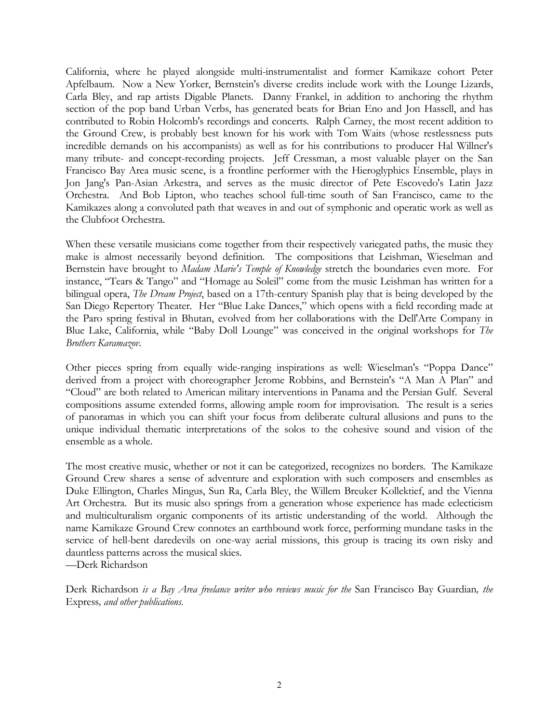California, where he played alongside multi-instrumentalist and former Kamikaze cohort Peter Apfelbaum. Now a New Yorker, Bernstein's diverse credits include work with the Lounge Lizards, Carla Bley, and rap artists Digable Planets. Danny Frankel, in addition to anchoring the rhythm section of the pop band Urban Verbs, has generated beats for Brian Eno and Jon Hassell, and has contributed to Robin Holcomb's recordings and concerts. Ralph Carney, the most recent addition to the Ground Crew, is probably best known for his work with Tom Waits (whose restlessness puts incredible demands on his accompanists) as well as for his contributions to producer Hal Willner's many tribute- and concept-recording projects. Jeff Cressman, a most valuable player on the San Francisco Bay Area music scene, is a frontline performer with the Hieroglyphics Ensemble, plays in Jon Jang's Pan-Asian Arkestra, and serves as the music director of Pete Escovedo's Latin Jazz Orchestra. And Bob Lipton, who teaches school full-time south of San Francisco, came to the Kamikazes along a convoluted path that weaves in and out of symphonic and operatic work as well as the Clubfoot Orchestra.

When these versatile musicians come together from their respectively variegated paths, the music they make is almost necessarily beyond definition. The compositions that Leishman, Wieselman and Bernstein have brought to *Madam Marie's Temple of Knowledge* stretch the boundaries even more. For instance, "Tears & Tango" and "Homage au Soleil" come from the music Leishman has written for a bilingual opera, *The Dream Project*, based on a 17th-century Spanish play that is being developed by the San Diego Repertory Theater. Her "Blue Lake Dances," which opens with a field recording made at the Paro spring festival in Bhutan, evolved from her collaborations with the Dell'Arte Company in Blue Lake, California, while "Baby Doll Lounge" was conceived in the original workshops for *The Brothers Karamazov*.

Other pieces spring from equally wide-ranging inspirations as well: Wieselman's "Poppa Dance" derived from a project with choreographer Jerome Robbins, and Bernstein's "A Man A Plan" and "Cloud" are both related to American military interventions in Panama and the Persian Gulf. Several compositions assume extended forms, allowing ample room for improvisation. The result is a series of panoramas in which you can shift your focus from deliberate cultural allusions and puns to the unique individual thematic interpretations of the solos to the cohesive sound and vision of the ensemble as a whole.

The most creative music, whether or not it can be categorized, recognizes no borders. The Kamikaze Ground Crew shares a sense of adventure and exploration with such composers and ensembles as Duke Ellington, Charles Mingus, Sun Ra, Carla Bley, the Willem Breuker Kollektief, and the Vienna Art Orchestra. But its music also springs from a generation whose experience has made eclecticism and multiculturalism organic components of its artistic understanding of the world. Although the name Kamikaze Ground Crew connotes an earthbound work force, performing mundane tasks in the service of hell-bent daredevils on one-way aerial missions, this group is tracing its own risky and dauntless patterns across the musical skies.

—Derk Richardson

Derk Richardson *is a Bay Area freelance writer who reviews music for the* San Francisco Bay Guardian*, the*  Express*, and other publications.*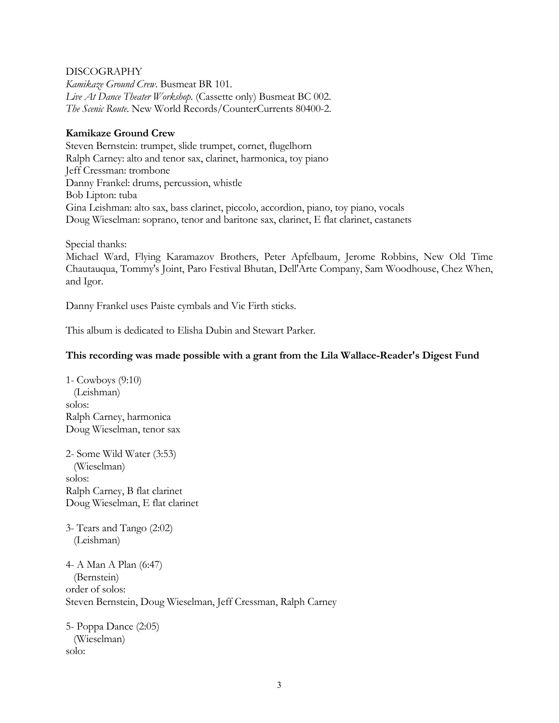#### DISCOGRAPHY

*Kamikaze Ground Crew*. Busmeat BR 101. *Live At Dance Theater Workshop*. (Cassette only) Busmeat BC 002. *The Scenic Route*. New World Records/CounterCurrents 80400-2.

### **Kamikaze Ground Crew**

Steven Bernstein: trumpet, slide trumpet, cornet, flugelhorn Ralph Carney: alto and tenor sax, clarinet, harmonica, toy piano Jeff Cressman: trombone Danny Frankel: drums, percussion, whistle Bob Lipton: tuba Gina Leishman: alto sax, bass clarinet, piccolo, accordion, piano, toy piano, vocals Doug Wieselman: soprano, tenor and baritone sax, clarinet, E flat clarinet, castanets

Special thanks:

Michael Ward, Flying Karamazov Brothers, Peter Apfelbaum, Jerome Robbins, New Old Time Chautauqua, Tommy's Joint, Paro Festival Bhutan, Dell'Arte Company, Sam Woodhouse, Chez When, and Igor.

Danny Frankel uses Paiste cymbals and Vic Firth sticks.

This album is dedicated to Elisha Dubin and Stewart Parker.

#### **This recording was made possible with a grant from the Lila Wallace-Reader's Digest Fund**

1- Cowboys (9:10) (Leishman) solos: Ralph Carney, harmonica Doug Wieselman, tenor sax

2- Some Wild Water (3:53) (Wieselman) solos: Ralph Carney, B flat clarinet Doug Wieselman, E flat clarinet

3- Tears and Tango (2:02) (Leishman)

4- A Man A Plan (6:47) (Bernstein) order of solos: Steven Bernstein, Doug Wieselman, Jeff Cressman, Ralph Carney

5- Poppa Dance (2:05) (Wieselman) solo: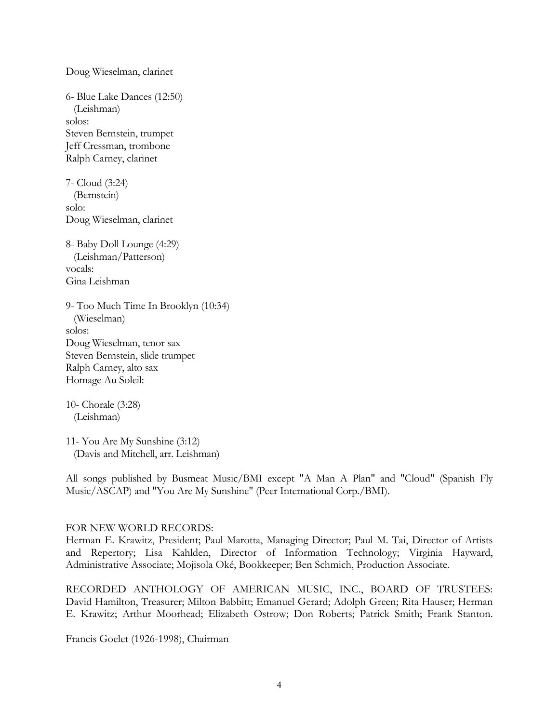Doug Wieselman, clarinet 6- Blue Lake Dances (12:50) (Leishman) solos: Steven Bernstein, trumpet Jeff Cressman, trombone Ralph Carney, clarinet 7- Cloud (3:24) (Bernstein) solo: Doug Wieselman, clarinet 8- Baby Doll Lounge (4:29) (Leishman/Patterson) vocals: Gina Leishman 9- Too Much Time In Brooklyn (10:34) (Wieselman) solos: Doug Wieselman, tenor sax

Steven Bernstein, slide trumpet Ralph Carney, alto sax Homage Au Soleil:

10- Chorale (3:28) (Leishman)

11- You Are My Sunshine (3:12) (Davis and Mitchell, arr. Leishman)

All songs published by Busmeat Music/BMI except "A Man A Plan" and "Cloud" (Spanish Fly Music/ASCAP) and "You Are My Sunshine" (Peer International Corp./BMI).

#### FOR NEW WORLD RECORDS:

Herman E. Krawitz, President; Paul Marotta, Managing Director; Paul M. Tai, Director of Artists and Repertory; Lisa Kahlden, Director of Information Technology; Virginia Hayward, Administrative Associate; Mojisola Oké, Bookkeeper; Ben Schmich, Production Associate.

RECORDED ANTHOLOGY OF AMERICAN MUSIC, INC., BOARD OF TRUSTEES: David Hamilton, Treasurer; Milton Babbitt; Emanuel Gerard; Adolph Green; Rita Hauser; Herman E. Krawitz; Arthur Moorhead; Elizabeth Ostrow; Don Roberts; Patrick Smith; Frank Stanton.

Francis Goelet (1926-1998), Chairman